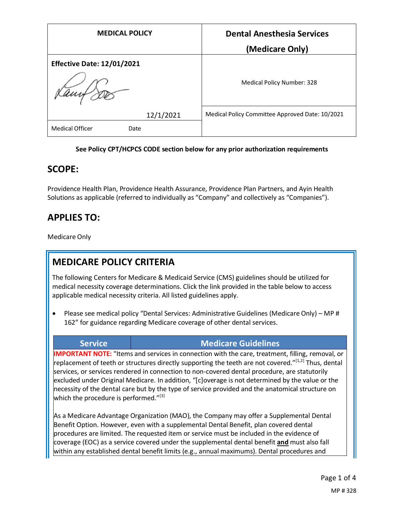| <b>MEDICAL POLICY</b>             | <b>Dental Anesthesia Services</b>               |
|-----------------------------------|-------------------------------------------------|
|                                   | (Medicare Only)                                 |
| <b>Effective Date: 12/01/2021</b> |                                                 |
|                                   | Medical Policy Number: 328                      |
| 12/1/2021                         | Medical Policy Committee Approved Date: 10/2021 |
| <b>Medical Officer</b><br>Date    |                                                 |

#### **See Policy CPT/HCPCS CODE section below for any prior authorization requirements**

## **SCOPE:**

Providence Health Plan, Providence Health Assurance, Providence Plan Partners, and Ayin Health Solutions as applicable (referred to individually as "Company" and collectively as "Companies").

# **APPLIES TO:**

Medicare Only

# **MEDICARE POLICY CRITERIA**

The following Centers for Medicare & Medicaid Service (CMS) guidelines should be utilized for medical necessity coverage determinations. Click the link provided in the table below to access applicable medical necessity criteria. All listed guidelines apply.

• Please see medical policy "Dental Services: Administrative Guidelines (Medicare Only) – MP # 162" for guidance regarding Medicare coverage of other dental services.

## **Service Medicare Guidelines**

**IMPORTANT NOTE:** "Items and services in connection with the care, treatment, filling, removal, or replacement of teeth or structures directly supporting the teeth are not covered."<sup>[1,2]</sup> Thus, dental services, or services rendered in connection to non-covered dental procedure, are statutorily excluded under Original Medicare. In addition, "[c]overage is not determined by the value or the necessity of the dental care but by the type of service provided and the anatomical structure on which the procedure is performed." $[3]$ 

As a Medicare Advantage Organization (MAO), the Company may offer a Supplemental Dental Benefit Option. However, even with a supplemental Dental Benefit, plan covered dental procedures are limited. The requested item or service must be included in the evidence of coverage (EOC) as a service covered under the supplemental dental benefit **and** must also fall within any established dental benefit limits (e.g., annual maximums). Dental procedures and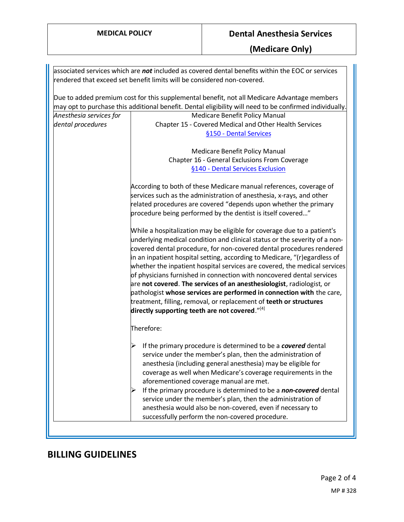|                         | associated services which are not included as covered dental benefits within the EOC or services        |
|-------------------------|---------------------------------------------------------------------------------------------------------|
|                         | rendered that exceed set benefit limits will be considered non-covered.                                 |
|                         |                                                                                                         |
|                         | Due to added premium cost for this supplemental benefit, not all Medicare Advantage members             |
|                         | may opt to purchase this additional benefit. Dental eligibility will need to be confirmed individually. |
| Anesthesia services for | Medicare Benefit Policy Manual                                                                          |
| dental procedures       | Chapter 15 - Covered Medical and Other Health Services                                                  |
|                         | §150 - Dental Services                                                                                  |
|                         |                                                                                                         |
|                         | Medicare Benefit Policy Manual                                                                          |
|                         | Chapter 16 - General Exclusions From Coverage                                                           |
|                         | §140 - Dental Services Exclusion                                                                        |
|                         |                                                                                                         |
|                         | According to both of these Medicare manual references, coverage of                                      |
|                         | services such as the administration of anesthesia, x-rays, and other                                    |
|                         | related procedures are covered "depends upon whether the primary                                        |
|                         | procedure being performed by the dentist is itself covered"                                             |
|                         | While a hospitalization may be eligible for coverage due to a patient's                                 |
|                         | underlying medical condition and clinical status or the severity of a non-                              |
|                         | covered dental procedure, for non-covered dental procedures rendered                                    |
|                         | in an inpatient hospital setting, according to Medicare, "(r)egardless of                               |
|                         | whether the inpatient hospital services are covered, the medical services                               |
|                         | of physicians furnished in connection with noncovered dental services                                   |
|                         | are not covered. The services of an anesthesiologist, radiologist, or                                   |
|                         | pathologist whose services are performed in connection with the care,                                   |
|                         | treatment, filling, removal, or replacement of teeth or structures                                      |
|                         | directly supporting teeth are not covered." $[4]$                                                       |
|                         |                                                                                                         |
|                         | Therefore:                                                                                              |
|                         | If the primary procedure is determined to be a covered dental                                           |
|                         | service under the member's plan, then the administration of                                             |
|                         | anesthesia (including general anesthesia) may be eligible for                                           |
|                         | coverage as well when Medicare's coverage requirements in the                                           |
|                         | aforementioned coverage manual are met.                                                                 |
|                         | If the primary procedure is determined to be a non-covered dental                                       |
|                         | service under the member's plan, then the administration of                                             |
|                         | anesthesia would also be non-covered, even if necessary to                                              |
|                         | successfully perform the non-covered procedure.                                                         |
|                         |                                                                                                         |

# **BILLING GUIDELINES**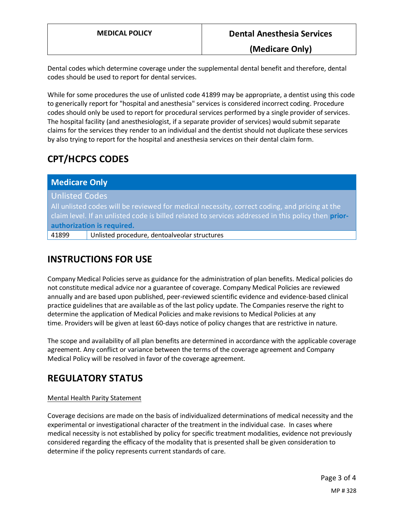**(Medicare Only)**

Dental codes which determine coverage under the supplemental dental benefit and therefore, dental codes should be used to report for dental services.

While for some procedures the use of unlisted code 41899 may be appropriate, a dentist using this code to generically report for "hospital and anesthesia" services is considered incorrect coding. Procedure codes should only be used to report for procedural services performed by a single provider of services. The hospital facility (and anesthesiologist, if a separate provider of services) would submit separate claims for the services they render to an individual and the dentist should not duplicate these services by also trying to report for the hospital and anesthesia services on their dental claim form.

# **CPT/HCPCS CODES**

| <b>Medicare Only</b>                                                                                |                                              |
|-----------------------------------------------------------------------------------------------------|----------------------------------------------|
| <b>Unlisted Codes</b>                                                                               |                                              |
| All unlisted codes will be reviewed for medical necessity, correct coding, and pricing at the       |                                              |
| claim level. If an unlisted code is billed related to services addressed in this policy then prior- |                                              |
| authorization is required.                                                                          |                                              |
| 41899                                                                                               | Unlisted procedure, dentoalveolar structures |
|                                                                                                     |                                              |

# **INSTRUCTIONS FOR USE**

Company Medical Policies serve as guidance for the administration of plan benefits. Medical policies do not constitute medical advice nor a guarantee of coverage. Company Medical Policies are reviewed annually and are based upon published, peer-reviewed scientific evidence and evidence-based clinical practice guidelines that are available as of the last policy update. The Companies reserve the right to determine the application of Medical Policies and make revisions to Medical Policies at any time. Providers will be given at least 60-days notice of policy changes that are restrictive in nature.

The scope and availability of all plan benefits are determined in accordance with the applicable coverage agreement. Any conflict or variance between the terms of the coverage agreement and Company Medical Policy will be resolved in favor of the coverage agreement.

# **REGULATORY STATUS**

### Mental Health Parity Statement

Coverage decisions are made on the basis of individualized determinations of medical necessity and the experimental or investigational character of the treatment in the individual case. In cases where medical necessity is not established by policy for specific treatment modalities, evidence not previously considered regarding the efficacy of the modality that is presented shall be given consideration to determine if the policy represents current standards of care.